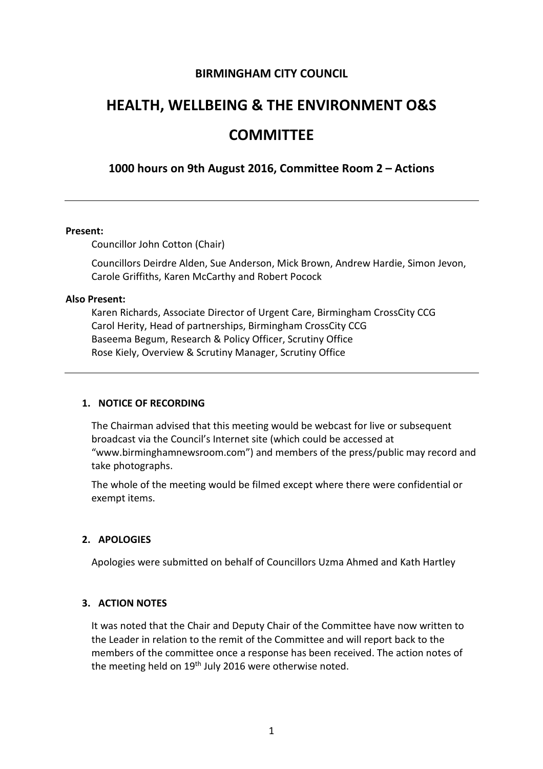# **BIRMINGHAM CITY COUNCIL**

# **HEALTH, WELLBEING & THE ENVIRONMENT O&S**

# **COMMITTEE**

# **1000 hours on 9th August 2016, Committee Room 2 – Actions**

#### **Present:**

Councillor John Cotton (Chair)

Councillors Deirdre Alden, Sue Anderson, Mick Brown, Andrew Hardie, Simon Jevon, Carole Griffiths, Karen McCarthy and Robert Pocock

#### **Also Present:**

Karen Richards, Associate Director of Urgent Care, Birmingham CrossCity CCG Carol Herity, Head of partnerships, Birmingham CrossCity CCG Baseema Begum, Research & Policy Officer, Scrutiny Office Rose Kiely, Overview & Scrutiny Manager, Scrutiny Office

#### **1. NOTICE OF RECORDING**

The Chairman advised that this meeting would be webcast for live or subsequent broadcast via the Council's Internet site (which could be accessed at "www.birminghamnewsroom.com") and members of the press/public may record and take photographs.

The whole of the meeting would be filmed except where there were confidential or exempt items.

#### **2. APOLOGIES**

Apologies were submitted on behalf of Councillors Uzma Ahmed and Kath Hartley

#### **3. ACTION NOTES**

It was noted that the Chair and Deputy Chair of the Committee have now written to the Leader in relation to the remit of the Committee and will report back to the members of the committee once a response has been received. The action notes of the meeting held on 19<sup>th</sup> July 2016 were otherwise noted.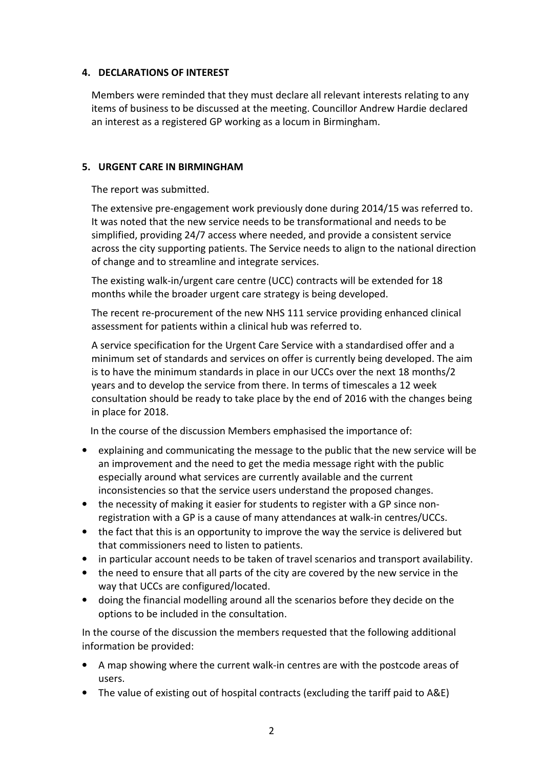# **4. DECLARATIONS OF INTEREST**

Members were reminded that they must declare all relevant interests relating to any items of business to be discussed at the meeting. Councillor Andrew Hardie declared an interest as a registered GP working as a locum in Birmingham.

# **5. URGENT CARE IN BIRMINGHAM**

The report was submitted.

The extensive pre-engagement work previously done during 2014/15 was referred to. It was noted that the new service needs to be transformational and needs to be simplified, providing 24/7 access where needed, and provide a consistent service across the city supporting patients. The Service needs to align to the national direction of change and to streamline and integrate services.

The existing walk-in/urgent care centre (UCC) contracts will be extended for 18 months while the broader urgent care strategy is being developed.

The recent re-procurement of the new NHS 111 service providing enhanced clinical assessment for patients within a clinical hub was referred to.

A service specification for the Urgent Care Service with a standardised offer and a minimum set of standards and services on offer is currently being developed. The aim is to have the minimum standards in place in our UCCs over the next 18 months/2 years and to develop the service from there. In terms of timescales a 12 week consultation should be ready to take place by the end of 2016 with the changes being in place for 2018.

In the course of the discussion Members emphasised the importance of:

- explaining and communicating the message to the public that the new service will be an improvement and the need to get the media message right with the public especially around what services are currently available and the current inconsistencies so that the service users understand the proposed changes.
- the necessity of making it easier for students to register with a GP since nonregistration with a GP is a cause of many attendances at walk-in centres/UCCs.
- the fact that this is an opportunity to improve the way the service is delivered but that commissioners need to listen to patients.
- in particular account needs to be taken of travel scenarios and transport availability.
- the need to ensure that all parts of the city are covered by the new service in the way that UCCs are configured/located.
- doing the financial modelling around all the scenarios before they decide on the options to be included in the consultation.

In the course of the discussion the members requested that the following additional information be provided:

- A map showing where the current walk-in centres are with the postcode areas of users.
- The value of existing out of hospital contracts (excluding the tariff paid to A&E)